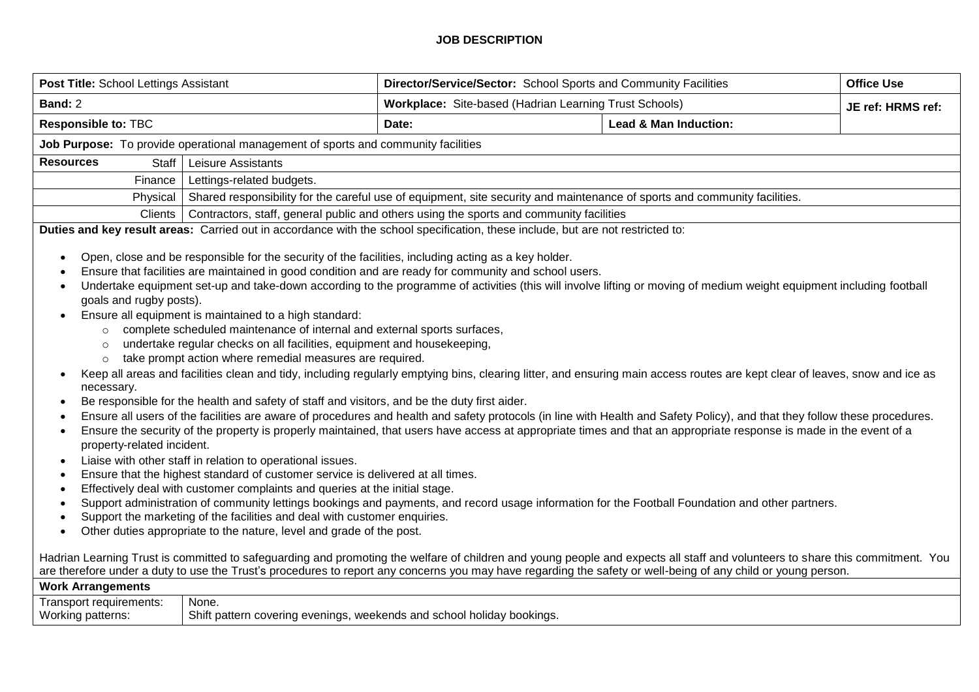## **JOB DESCRIPTION**

| Post Title: School Lettings Assistant                                                                                                                                                                                                                                                                                                                                                                                                                                                                                                                                                                                                                                                                                                                                                                                                                                                                                                                                                                                                                                                                                                                                                                                                                                                                                                                                                                                                                                                                                                                                                                                                                                                                                                                                                                                                                                                                                                                                                                                                                                                                                                                                                                                                                                                                                                                                                         |                                                                                                                           | Director/Service/Sector: School Sports and Community Facilities                                                                 |                                  | <b>Office Use</b> |  |  |
|-----------------------------------------------------------------------------------------------------------------------------------------------------------------------------------------------------------------------------------------------------------------------------------------------------------------------------------------------------------------------------------------------------------------------------------------------------------------------------------------------------------------------------------------------------------------------------------------------------------------------------------------------------------------------------------------------------------------------------------------------------------------------------------------------------------------------------------------------------------------------------------------------------------------------------------------------------------------------------------------------------------------------------------------------------------------------------------------------------------------------------------------------------------------------------------------------------------------------------------------------------------------------------------------------------------------------------------------------------------------------------------------------------------------------------------------------------------------------------------------------------------------------------------------------------------------------------------------------------------------------------------------------------------------------------------------------------------------------------------------------------------------------------------------------------------------------------------------------------------------------------------------------------------------------------------------------------------------------------------------------------------------------------------------------------------------------------------------------------------------------------------------------------------------------------------------------------------------------------------------------------------------------------------------------------------------------------------------------------------------------------------------------|---------------------------------------------------------------------------------------------------------------------------|---------------------------------------------------------------------------------------------------------------------------------|----------------------------------|-------------------|--|--|
| Band: 2                                                                                                                                                                                                                                                                                                                                                                                                                                                                                                                                                                                                                                                                                                                                                                                                                                                                                                                                                                                                                                                                                                                                                                                                                                                                                                                                                                                                                                                                                                                                                                                                                                                                                                                                                                                                                                                                                                                                                                                                                                                                                                                                                                                                                                                                                                                                                                                       |                                                                                                                           | Workplace: Site-based (Hadrian Learning Trust Schools)                                                                          |                                  | JE ref: HRMS ref: |  |  |
| <b>Responsible to: TBC</b>                                                                                                                                                                                                                                                                                                                                                                                                                                                                                                                                                                                                                                                                                                                                                                                                                                                                                                                                                                                                                                                                                                                                                                                                                                                                                                                                                                                                                                                                                                                                                                                                                                                                                                                                                                                                                                                                                                                                                                                                                                                                                                                                                                                                                                                                                                                                                                    |                                                                                                                           | Date:                                                                                                                           | <b>Lead &amp; Man Induction:</b> |                   |  |  |
| Job Purpose: To provide operational management of sports and community facilities                                                                                                                                                                                                                                                                                                                                                                                                                                                                                                                                                                                                                                                                                                                                                                                                                                                                                                                                                                                                                                                                                                                                                                                                                                                                                                                                                                                                                                                                                                                                                                                                                                                                                                                                                                                                                                                                                                                                                                                                                                                                                                                                                                                                                                                                                                             |                                                                                                                           |                                                                                                                                 |                                  |                   |  |  |
| <b>Resources</b><br>Staff                                                                                                                                                                                                                                                                                                                                                                                                                                                                                                                                                                                                                                                                                                                                                                                                                                                                                                                                                                                                                                                                                                                                                                                                                                                                                                                                                                                                                                                                                                                                                                                                                                                                                                                                                                                                                                                                                                                                                                                                                                                                                                                                                                                                                                                                                                                                                                     | Leisure Assistants                                                                                                        |                                                                                                                                 |                                  |                   |  |  |
| Finance                                                                                                                                                                                                                                                                                                                                                                                                                                                                                                                                                                                                                                                                                                                                                                                                                                                                                                                                                                                                                                                                                                                                                                                                                                                                                                                                                                                                                                                                                                                                                                                                                                                                                                                                                                                                                                                                                                                                                                                                                                                                                                                                                                                                                                                                                                                                                                                       | Lettings-related budgets.                                                                                                 |                                                                                                                                 |                                  |                   |  |  |
| Physical                                                                                                                                                                                                                                                                                                                                                                                                                                                                                                                                                                                                                                                                                                                                                                                                                                                                                                                                                                                                                                                                                                                                                                                                                                                                                                                                                                                                                                                                                                                                                                                                                                                                                                                                                                                                                                                                                                                                                                                                                                                                                                                                                                                                                                                                                                                                                                                      | Shared responsibility for the careful use of equipment, site security and maintenance of sports and community facilities. |                                                                                                                                 |                                  |                   |  |  |
| <b>Clients</b>                                                                                                                                                                                                                                                                                                                                                                                                                                                                                                                                                                                                                                                                                                                                                                                                                                                                                                                                                                                                                                                                                                                                                                                                                                                                                                                                                                                                                                                                                                                                                                                                                                                                                                                                                                                                                                                                                                                                                                                                                                                                                                                                                                                                                                                                                                                                                                                | Contractors, staff, general public and others using the sports and community facilities                                   |                                                                                                                                 |                                  |                   |  |  |
|                                                                                                                                                                                                                                                                                                                                                                                                                                                                                                                                                                                                                                                                                                                                                                                                                                                                                                                                                                                                                                                                                                                                                                                                                                                                                                                                                                                                                                                                                                                                                                                                                                                                                                                                                                                                                                                                                                                                                                                                                                                                                                                                                                                                                                                                                                                                                                                               |                                                                                                                           | Duties and key result areas: Carried out in accordance with the school specification, these include, but are not restricted to: |                                  |                   |  |  |
| Open, close and be responsible for the security of the facilities, including acting as a key holder.<br>Ensure that facilities are maintained in good condition and are ready for community and school users.<br>Undertake equipment set-up and take-down according to the programme of activities (this will involve lifting or moving of medium weight equipment including football<br>goals and rugby posts).<br>Ensure all equipment is maintained to a high standard:<br>complete scheduled maintenance of internal and external sports surfaces,<br>$\circ$<br>undertake regular checks on all facilities, equipment and housekeeping,<br>$\circ$<br>take prompt action where remedial measures are required.<br>$\circ$<br>Keep all areas and facilities clean and tidy, including regularly emptying bins, clearing litter, and ensuring main access routes are kept clear of leaves, snow and ice as<br>necessary.<br>Be responsible for the health and safety of staff and visitors, and be the duty first aider.<br>$\bullet$<br>Ensure all users of the facilities are aware of procedures and health and safety protocols (in line with Health and Safety Policy), and that they follow these procedures.<br>Ensure the security of the property is properly maintained, that users have access at appropriate times and that an appropriate response is made in the event of a<br>٠<br>property-related incident.<br>Liaise with other staff in relation to operational issues.<br>Ensure that the highest standard of customer service is delivered at all times.<br>$\bullet$<br>Effectively deal with customer complaints and queries at the initial stage.<br>$\bullet$<br>Support administration of community lettings bookings and payments, and record usage information for the Football Foundation and other partners.<br>$\bullet$<br>Support the marketing of the facilities and deal with customer enquiries.<br>Other duties appropriate to the nature, level and grade of the post.<br>Hadrian Learning Trust is committed to safeguarding and promoting the welfare of children and young people and expects all staff and volunteers to share this commitment. You<br>are therefore under a duty to use the Trust's procedures to report any concerns you may have regarding the safety or well-being of any child or young person.<br><b>Work Arrangements</b> |                                                                                                                           |                                                                                                                                 |                                  |                   |  |  |
| Transport requirements:<br>Working patterns:                                                                                                                                                                                                                                                                                                                                                                                                                                                                                                                                                                                                                                                                                                                                                                                                                                                                                                                                                                                                                                                                                                                                                                                                                                                                                                                                                                                                                                                                                                                                                                                                                                                                                                                                                                                                                                                                                                                                                                                                                                                                                                                                                                                                                                                                                                                                                  | None.<br>Shift pattern covering evenings, weekends and school holiday bookings.                                           |                                                                                                                                 |                                  |                   |  |  |